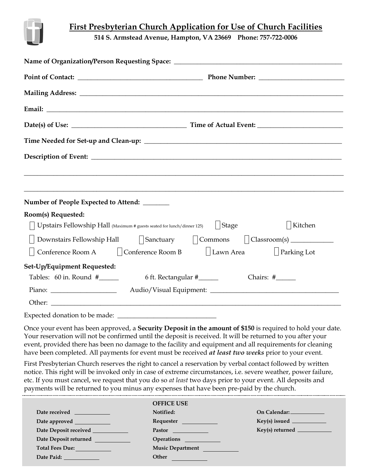

## **First Presbyterian Church Application for Use of Church Facilities**

**514 S. Armstead Avenue, Hampton, VA 23669 Phone: 757-722-0006**

| Email: <u>Discovered</u> Construction of the construction of the construction of the construction of the construction of the construction of the construction of the construction of the construction of the construction of the co |  |  |  |
|-------------------------------------------------------------------------------------------------------------------------------------------------------------------------------------------------------------------------------------|--|--|--|
|                                                                                                                                                                                                                                     |  |  |  |
|                                                                                                                                                                                                                                     |  |  |  |
|                                                                                                                                                                                                                                     |  |  |  |
|                                                                                                                                                                                                                                     |  |  |  |
|                                                                                                                                                                                                                                     |  |  |  |
| Number of People Expected to Attend: ______                                                                                                                                                                                         |  |  |  |
| Room(s) Requested:                                                                                                                                                                                                                  |  |  |  |
| $\vert$ Stage<br>  Kitchen<br>Upstairs Fellowship Hall (Maximum # guests seated for lunch/dinner 125)                                                                                                                               |  |  |  |
| Downstairs Fellowship Hall Sanctuary Commons $\bigcup$ Classroom(s) ________________                                                                                                                                                |  |  |  |
| Conference Room A □ Conference Room B □ Lawn Area<br>$\Box$ Parking Lot                                                                                                                                                             |  |  |  |
| Set-Up/Equipment Requested:                                                                                                                                                                                                         |  |  |  |
| Tables: $60$ in. Round $\#$ _______<br>6 ft. Rectangular #_______<br>Chairs: #______                                                                                                                                                |  |  |  |
|                                                                                                                                                                                                                                     |  |  |  |
|                                                                                                                                                                                                                                     |  |  |  |
|                                                                                                                                                                                                                                     |  |  |  |

Once your event has been approved, a **Security Deposit in the amount of \$150** is required to hold your date. Your reservation will not be confirmed until the deposit is received. It will be returned to you after your event, provided there has been no damage to the facility and equipment and all requirements for cleaning have been completed. All payments for event must be received *at least two weeks* prior to your event.

First Presbyterian Church reserves the right to cancel a reservation by verbal contact followed by written notice. This right will be invoked only in case of extreme circumstances, i.e. severe weather, power failure, etc. If you must cancel, we request that you do so *at least* two days prior to your event. All deposits and payments will be returned to you minus any expenses that have been pre-paid by the church.

|                                                                                                                                                                                                                                      | <b>OFFICE USE</b>           |                                   |
|--------------------------------------------------------------------------------------------------------------------------------------------------------------------------------------------------------------------------------------|-----------------------------|-----------------------------------|
| Date received                                                                                                                                                                                                                        | Notified:                   | On Calendar: _____________        |
| Date approved <b>the contract of the contract of the contract of the contract of the contract of the contract of the contract of the contract of the contract of the contract of the contract of the contract of the contract of</b> | <b>Requester Requester</b>  |                                   |
| Date Deposit received _____________                                                                                                                                                                                                  | <b>Pastor Exercise 2020</b> | $Key(s)$ returned $\qquad \qquad$ |
| Date Deposit returned                                                                                                                                                                                                                |                             |                                   |
| Total Fees Due: 1998                                                                                                                                                                                                                 | <b>Music Department</b>     |                                   |
| Date Paid: The Contract of the Contract of the Contract of the Contract of the Contract of the Contract of the                                                                                                                       | Other                       |                                   |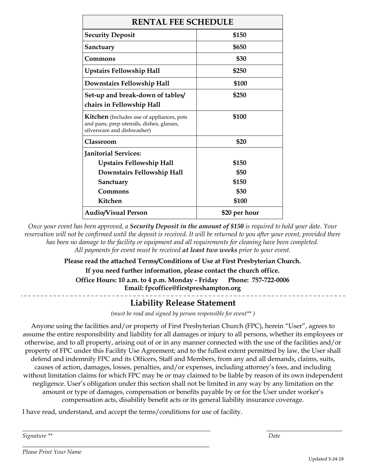| <b>RENTAL FEE SCHEDULE</b>                                                                                                  |               |  |  |
|-----------------------------------------------------------------------------------------------------------------------------|---------------|--|--|
| <b>Security Deposit</b>                                                                                                     | \$150         |  |  |
| Sanctuary                                                                                                                   | \$650         |  |  |
| Commons                                                                                                                     | \$30          |  |  |
| <b>Upstairs Fellowship Hall</b>                                                                                             | \$250         |  |  |
| Downstairs Fellowship Hall                                                                                                  | \$100         |  |  |
| Set-up and break-down of tables/                                                                                            | \$250         |  |  |
| chairs in Fellowship Hall                                                                                                   |               |  |  |
| <b>Kitchen</b> (Includes use of appliances, pots<br>and pans, prep utensils, dishes, glasses,<br>silverware and dishwasher) | \$100         |  |  |
| <b>Classroom</b>                                                                                                            | \$20          |  |  |
| <b>Janitorial Services:</b>                                                                                                 |               |  |  |
| <b>Upstairs Fellowship Hall</b>                                                                                             | \$150         |  |  |
| Downstairs Fellowship Hall                                                                                                  | \$50          |  |  |
| Sanctuary                                                                                                                   | \$150         |  |  |
| Commons                                                                                                                     | \$30          |  |  |
| Kitchen                                                                                                                     | \$100         |  |  |
| <b>Audio/Visual Person</b>                                                                                                  | \$20 per hour |  |  |

*Once your event has been approved, a Security Deposit in the amount of \$150 is required to hold your date. Your*  reservation will not be confirmed until the deposit is received. It will be returned to you after your event, provided there *has been no damage to the facility or equipment and all requirements for cleaning have been completed. All payments for event must be received at least two weeks prior to your event.* 

## **Please read the attached Terms/Conditions of Use at First Presbyterian Church.**

**If you need further information, please contact the church office.** 

**Office Hours: 10 a.m. to 4 p.m. Monday - Friday Phone: 757-722-0006** 

**Email: fpcoffice@firstpreshampton.org**

## **Liability Release Statement**

*(must be read and signed by person responsible for event\*\* )*

Anyone using the facilities and/or property of First Presbyterian Church (FPC), herein "User", agrees to assume the entire responsibility and liability for all damages or injury to all persons, whether its employees or otherwise, and to all property, arising out of or in any manner connected with the use of the facilities and/or property of FPC under this Facility Use Agreement; and to the fullest extent permitted by law, the User shall defend and indemnify FPC and its Officers, Staff and Members, from any and all demands, claims, suits, causes of action, damages, losses, penalties, and/or expenses, including attorney's fees, and including without limitation claims for which FPC may be or may claimed to be liable by reason of its own independent negligence. User's obligation under this section shall not be limited in any way by any limitation on the amount or type of damages, compensation or benefits payable by or for the User under worker's compensation acts, disability benefit acts or its general liability insurance coverage.

\_\_\_\_\_\_\_\_\_\_\_\_\_\_\_\_\_\_\_\_\_\_\_\_\_\_\_\_\_\_\_\_\_\_\_\_\_\_\_\_\_\_\_\_\_\_\_\_\_\_\_\_\_\_\_\_\_ \_\_\_\_\_\_\_\_\_\_\_\_\_\_\_\_\_\_\_\_\_\_\_

I have read, understand, and accept the terms/conditions for use of facility.

\_\_\_\_\_\_\_\_\_\_\_\_\_\_\_\_\_\_\_\_\_\_\_\_\_\_\_\_\_\_\_\_\_\_\_\_\_\_\_\_\_\_\_\_\_\_\_\_\_\_\_\_

*Signature \*\* Date*

*Please Print Your Name*